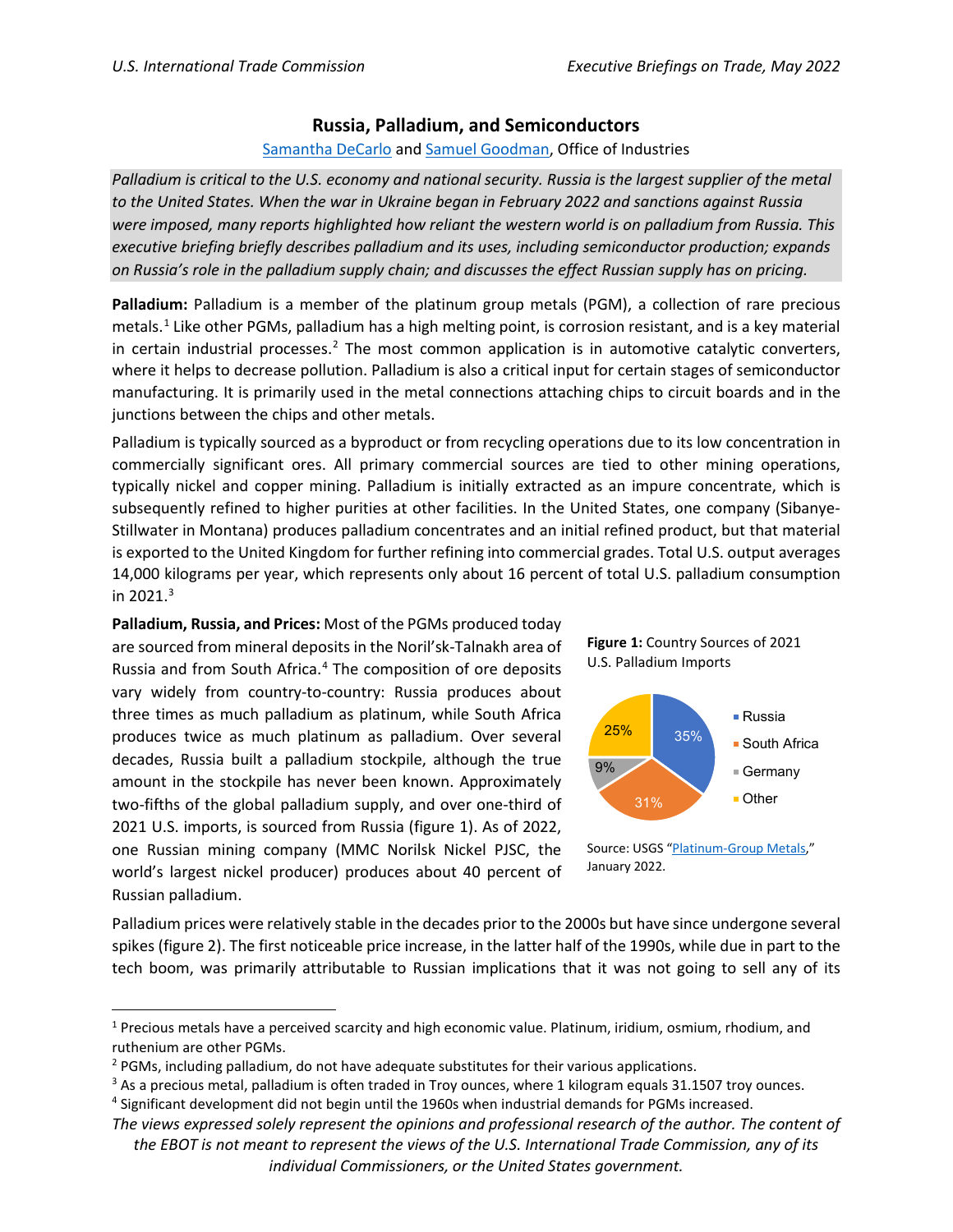## **Russia, Palladium, and Semiconductors**

## [Samantha DeCarlo](mailto:samantha.decarlo@usitc.gov) an[d Samuel Goodman,](mailto:samuel.goodman@usitc.gov) Office of Industries

*Palladium is critical to the U.S. economy and national security. Russia is the largest supplier of the metal to the United States. When the war in Ukraine began in February 2022 and sanctions against Russia were imposed, many reports highlighted how reliant the western world is on palladium from Russia. This executive briefing briefly describes palladium and its uses, including semiconductor production; expands on Russia's role in the palladium supply chain; and discusses the effect Russian supply has on pricing.*

**Palladium:** Palladium is a member of the platinum group metals (PGM), a collection of rare precious metals. [1](#page-1-0) Like other PGMs, palladium has a high melting point, is corrosion resistant, and is a key material in certain industrial processes.<sup>[2](#page-0-0)</sup> The most common application is in automotive catalytic converters, where it helps to decrease pollution. Palladium is also a critical input for certain stages of semiconductor manufacturing. It is primarily used in the metal connections attaching chips to circuit boards and in the junctions between the chips and other metals.

Palladium is typically sourced as a byproduct or from recycling operations due to its low concentration in commercially significant ores. All primary commercial sources are tied to other mining operations, typically nickel and copper mining. Palladium is initially extracted as an impure concentrate, which is subsequently refined to higher purities at other facilities. In the United States, one company (Sibanye-Stillwater in Montana) produces palladium concentrates and an initial refined product, but that material is exported to the United Kingdom for further refining into commercial grades. Total U.S. output averages 14,000 kilograms per year, which represents only about 16 percent of total U.S. palladium consumption in 2021. $3$ 

**Palladium, Russia, and Prices:** Most of the PGMs produced today are sourced from mineral deposits in the Noril'sk-Talnakh area of Russia and from South Africa. [4](#page-0-2) The composition of ore deposits vary widely from country-to-country: Russia produces about three times as much palladium as platinum, while South Africa produces twice as much platinum as palladium. Over several decades, Russia built a palladium stockpile, although the true amount in the stockpile has never been known. Approximately two-fifths of the global palladium supply, and over one-third of 2021 U.S. imports, is sourced from Russia (figure 1). As of 2022, one Russian mining company (MMC Norilsk Nickel PJSC, the world's largest nickel producer) produces about 40 percent of Russian palladium.





Source: USGS ["Platinum-Group Metals,](https://pubs.usgs.gov/periodicals/mcs2022/mcs2022-platinum.pdf)" January 2022.

Palladium prices were relatively stable in the decades prior to the 2000s but have since undergone several spikes (figure 2). The first noticeable price increase, in the latter half of the 1990s, while due in part to the tech boom, was primarily attributable to Russian implications that it was not going to sell any of its

<sup>1</sup> Precious metals have a perceived scarcity and high economic value. Platinum, iridium, osmium, rhodium, and ruthenium are other PGMs.

<span id="page-0-1"></span><span id="page-0-0"></span><sup>&</sup>lt;sup>2</sup> PGMs, including palladium, do not have adequate substitutes for their various applications.<br><sup>3</sup> As a precious metal, palladium is often traded in Troy ounces, where 1 kilogram equals 31.1507 troy ounces.

<span id="page-0-2"></span><sup>4</sup> Significant development did not begin until the 1960s when industrial demands for PGMs increased.

*The views expressed solely represent the opinions and professional research of the author. The content of the EBOT is not meant to represent the views of the U.S. International Trade Commission, any of its individual Commissioners, or the United States government.*